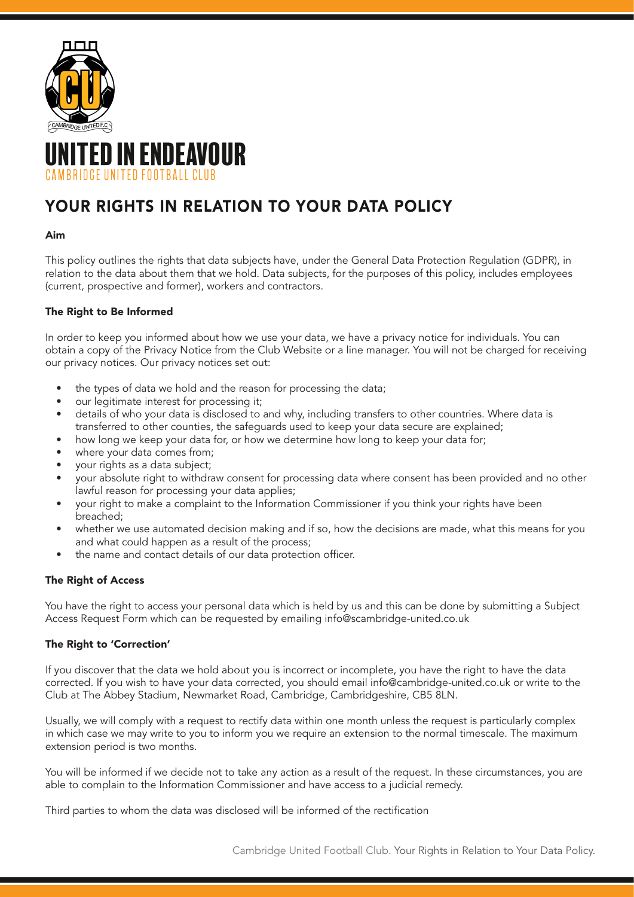

# **TED IN ENDEAVOUR** IRRIDCE UNITED FOOTRALL CLUR

## YOUR RIGHTS IN RELATION TO YOUR DATA POLICY

#### Aim

This policy outlines the rights that data subjects have, under the General Data Protection Regulation (GDPR), in relation to the data about them that we hold. Data subjects, for the purposes of this policy, includes employees (current, prospective and former), workers and contractors.

### The Right to Be Informed

In order to keep you informed about how we use your data, we have a privacy notice for individuals. You can obtain a copy of the Privacy Notice from the Club Website or a line manager. You will not be charged for receiving our privacy notices. Our privacy notices set out:

- the types of data we hold and the reason for processing the data;
- our legitimate interest for processing it;
- details of who your data is disclosed to and why, including transfers to other countries. Where data is transferred to other counties, the safeguards used to keep your data secure are explained;
- how long we keep your data for, or how we determine how long to keep your data for;
- where your data comes from;
- your rights as a data subject;
- your absolute right to withdraw consent for processing data where consent has been provided and no other lawful reason for processing your data applies;
- your right to make a complaint to the Information Commissioner if you think your rights have been breached;
- whether we use automated decision making and if so, how the decisions are made, what this means for you and what could happen as a result of the process;
- the name and contact details of our data protection officer.

### The Right of Access

You have the right to access your personal data which is held by us and this can be done by submitting a Subject Access Request Form which can be requested by emailing info@scambridge-united.co.uk

### The Right to 'Correction'

If you discover that the data we hold about you is incorrect or incomplete, you have the right to have the data corrected. If you wish to have your data corrected, you should email info@cambridge-united.co.uk or write to the Club at The Abbey Stadium, Newmarket Road, Cambridge, Cambridgeshire, CB5 8LN.

Usually, we will comply with a request to rectify data within one month unless the request is particularly complex in which case we may write to you to inform you we require an extension to the normal timescale. The maximum extension period is two months.

You will be informed if we decide not to take any action as a result of the request. In these circumstances, you are able to complain to the Information Commissioner and have access to a judicial remedy.

Third parties to whom the data was disclosed will be informed of the rectification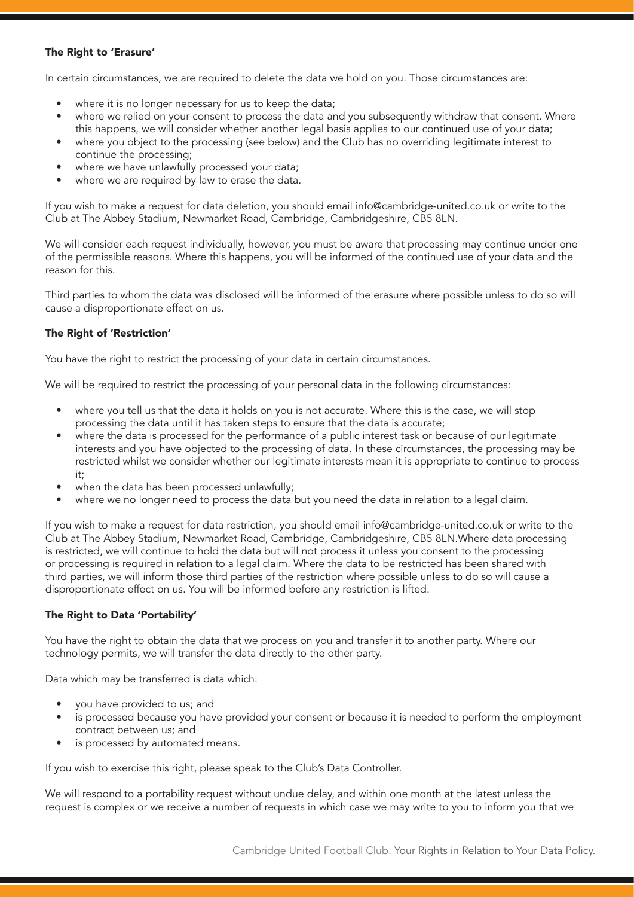#### The Right to 'Erasure'

In certain circumstances, we are required to delete the data we hold on you. Those circumstances are:

- where it is no longer necessary for us to keep the data;
- where we relied on your consent to process the data and you subsequently withdraw that consent. Where this happens, we will consider whether another legal basis applies to our continued use of your data;
- where you object to the processing (see below) and the Club has no overriding legitimate interest to continue the processing;
- where we have unlawfully processed your data;
- where we are required by law to erase the data.

If you wish to make a request for data deletion, you should email info@cambridge-united.co.uk or write to the Club at The Abbey Stadium, Newmarket Road, Cambridge, Cambridgeshire, CB5 8LN.

We will consider each request individually, however, you must be aware that processing may continue under one of the permissible reasons. Where this happens, you will be informed of the continued use of your data and the reason for this.

Third parties to whom the data was disclosed will be informed of the erasure where possible unless to do so will cause a disproportionate effect on us.

#### The Right of 'Restriction'

You have the right to restrict the processing of your data in certain circumstances.

We will be required to restrict the processing of your personal data in the following circumstances:

- where you tell us that the data it holds on you is not accurate. Where this is the case, we will stop processing the data until it has taken steps to ensure that the data is accurate;
- where the data is processed for the performance of a public interest task or because of our legitimate interests and you have objected to the processing of data. In these circumstances, the processing may be restricted whilst we consider whether our legitimate interests mean it is appropriate to continue to process it;
- when the data has been processed unlawfully:
- where we no longer need to process the data but you need the data in relation to a legal claim.

If you wish to make a request for data restriction, you should email info@cambridge-united.co.uk or write to the Club at The Abbey Stadium, Newmarket Road, Cambridge, Cambridgeshire, CB5 8LN.Where data processing is restricted, we will continue to hold the data but will not process it unless you consent to the processing or processing is required in relation to a legal claim. Where the data to be restricted has been shared with third parties, we will inform those third parties of the restriction where possible unless to do so will cause a disproportionate effect on us. You will be informed before any restriction is lifted.

#### The Right to Data 'Portability'

You have the right to obtain the data that we process on you and transfer it to another party. Where our technology permits, we will transfer the data directly to the other party.

Data which may be transferred is data which:

- you have provided to us; and
- is processed because you have provided your consent or because it is needed to perform the employment contract between us; and
- is processed by automated means.

If you wish to exercise this right, please speak to the Club's Data Controller.

We will respond to a portability request without undue delay, and within one month at the latest unless the request is complex or we receive a number of requests in which case we may write to you to inform you that we